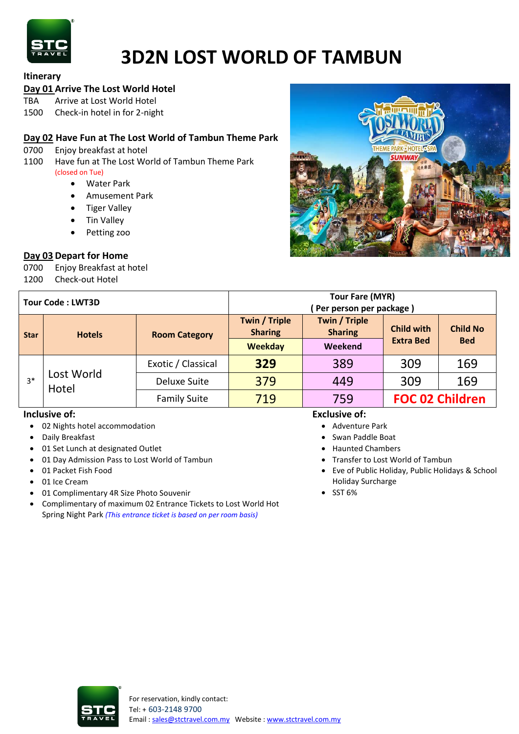

# **3D2N LOST WORLD OF TAMBUN**

## **Itinerary**

## **Day 01 Arrive The Lost World Hotel**

TBA Arrive at Lost World Hotel

1500 Check-in hotel in for 2-night

## **Day 02 Have Fun at The Lost World of Tambun Theme Park**

- 0700 Enjoy breakfast at hotel
- 1100 Have fun at The Lost World of Tambun Theme Park (closed on Tue)
	- Water Park
	- Amusement Park
	- Tiger Valley
	- Tin Valley
	- Petting zoo

## **Day 03 Depart for Home**

0700 Enjoy Breakfast at hotel 1200 Check-out Hotel



| <b>Tour Code: LWT3D</b> |                     |                      | <b>Tour Fare (MYR)</b><br>Per person per package) |                                        |                                       |                               |
|-------------------------|---------------------|----------------------|---------------------------------------------------|----------------------------------------|---------------------------------------|-------------------------------|
| <b>Star</b>             | <b>Hotels</b>       | <b>Room Category</b> | Twin / Triple<br><b>Sharing</b>                   | <b>Twin / Triple</b><br><b>Sharing</b> | <b>Child with</b><br><b>Extra Bed</b> | <b>Child No</b><br><b>Bed</b> |
|                         |                     |                      | <b>Weekday</b>                                    | Weekend                                |                                       |                               |
| $3*$                    | Lost World<br>Hotel | Exotic / Classical   | 329                                               | 389                                    | 309                                   | 169                           |
|                         |                     | Deluxe Suite         | 379                                               | 449                                    | 309                                   | 169                           |
|                         |                     | <b>Family Suite</b>  | 719                                               | 759                                    | <b>FOC 02 Children</b>                |                               |

### **Inclusive of:**

- 02 Nights hotel accommodation
- Daily Breakfast
- 01 Set Lunch at designated Outlet
- 01 Day Admission Pass to Lost World of Tambun
- 01 Packet Fish Food
- 01 Ice Cream
- 01 Complimentary 4R Size Photo Souvenir
- Complimentary of maximum 02 Entrance Tickets to Lost World Hot Spring Night Park *(This entrance ticket is based on per room basis)*

## **Exclusive of:**

- Adventure Park
- Swan Paddle Boat
- Haunted Chambers
- Transfer to Lost World of Tambun
- Eve of Public Holiday, Public Holidays & School Holiday Surcharge
- $\bullet$  SST 6%

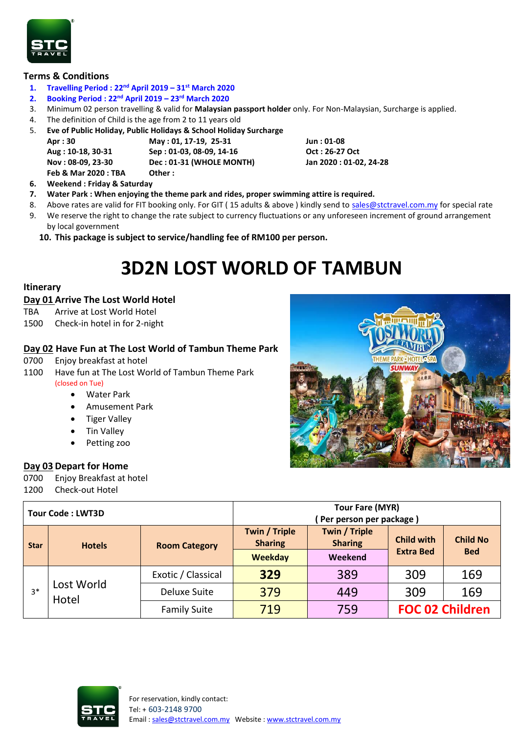

### **Terms & Conditions**

- **1. Travelling Period : 22nd April 2019 – 31st March 2020**
- **2. Booking Period : 22nd April 2019 – 23rd March 2020**
- 3. Minimum 02 person travelling & valid for **Malaysian passport holder** only. For Non-Malaysian, Surcharge is applied.
- 4. The definition of Child is the age from 2 to 11 years old
- 5. **Eve of Public Holiday, Public Holidays & School Holiday Surcharge**

**Apr : 30 May : 01, 17-19, 25-31 Jun : 01-08 Aug : 10-18, 30-31 Sep : 01-03, 08-09, 14-16 Oct : 26-27 Oct Nov : 08-09, 23-30 Dec : 01-31 (WHOLE MONTH) Jan 2020 : 01-02, 24-28**

**Feb & Mar 2020 : TBA Other :** 

- **6. Weekend : Friday & Saturday**
- **7. Water Park : When enjoying the theme park and rides, proper swimming attire is required.**
- 8. Above rates are valid for FIT booking only. For GIT (15 adults & above) kindly send to [sales@stctravel.com.my](mailto:sales@stctravel.com.my) for special rate
- 9. We reserve the right to change the rate subject to currency fluctuations or any unforeseen increment of ground arrangement by local government
	- **10. This package is subject to service/handling fee of RM100 per person.**

## **3D2N LOST WORLD OF TAMBUN**

### **Itinerary**

### **Day 01 Arrive The Lost World Hotel**

- TBA Arrive at Lost World Hotel
- 1500 Check-in hotel in for 2-night

## **Day 02 Have Fun at The Lost World of Tambun Theme Park**

- 0700 Enjoy breakfast at hotel
- 1100 Have fun at The Lost World of Tambun Theme Park (closed on Tue)
	- Water Park
	- Amusement Park
	- Tiger Valley
	- Tin Valley
	- Petting zoo

## **Day 03 Depart for Home**

0700 Enjoy Breakfast at hotel 1200 Check-out Hotel



| <b>Tour Code: LWT3D</b> |                     |                      | <b>Tour Fare (MYR)</b>          |                                        |                                       |                               |
|-------------------------|---------------------|----------------------|---------------------------------|----------------------------------------|---------------------------------------|-------------------------------|
|                         |                     |                      | (Per person per package)        |                                        |                                       |                               |
| <b>Star</b>             | <b>Hotels</b>       | <b>Room Category</b> | Twin / Triple<br><b>Sharing</b> | <b>Twin / Triple</b><br><b>Sharing</b> | <b>Child with</b><br><b>Extra Bed</b> | <b>Child No</b><br><b>Bed</b> |
|                         |                     |                      | <b>Weekday</b>                  | Weekend                                |                                       |                               |
| $3*$                    | Lost World<br>Hotel | Exotic / Classical   | 329                             | 389                                    | 309                                   | 169                           |
|                         |                     | Deluxe Suite         | 379                             | 449                                    | 309                                   | 169                           |
|                         |                     | <b>Family Suite</b>  | 719                             | 759                                    | <b>FOC 02 Children</b>                |                               |